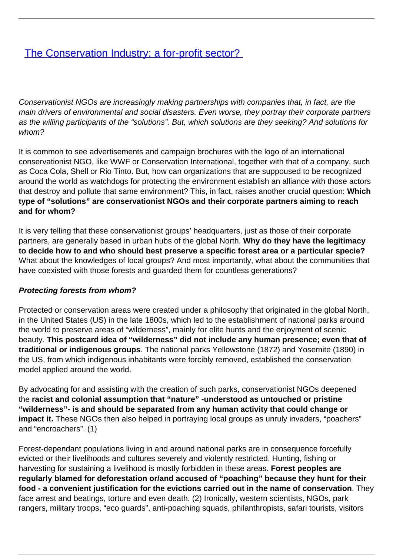# [The Conservation Industry: a for-profit sector?](/bulletin-articles/the-conservation-industry-a-for-profit-sector)

Conservationist NGOs are increasingly making partnerships with companies that, in fact, are the main drivers of environmental and social disasters. Even worse, they portray their corporate partners as the willing participants of the "solutions". But, which solutions are they seeking? And solutions for whom?

It is common to see advertisements and campaign brochures with the logo of an international conservationist NGO, like WWF or Conservation International, together with that of a company, such as Coca Cola, Shell or Rio Tinto. But, how can organizations that are suppoused to be recognized around the world as watchdogs for protecting the environment establish an alliance with those actors that destroy and pollute that same environment? This, in fact, raises another crucial question: **Which type of "solutions" are conservationist NGOs and their corporate partners aiming to reach and for whom?**

It is very telling that these conservationist groups' headquarters, just as those of their corporate partners, are generally based in urban hubs of the global North. **Why do they have the legitimacy to decide how to and who should best preserve a specific forest area or a particular specie?** What about the knowledges of local groups? And most importantly, what about the communities that have coexisted with those forests and guarded them for countless generations?

#### **Protecting forests from whom?**

Protected or conservation areas were created under a philosophy that originated in the global North, in the United States (US) in the late 1800s, which led to the establishment of national parks around the world to preserve areas of "wilderness", mainly for elite hunts and the enjoyment of scenic beauty. **This postcard idea of "wilderness" did not include any human presence; even that of traditional or indigenous groups**. The national parks Yellowstone (1872) and Yosemite (1890) in the US, from which indigenous inhabitants were forcibly removed, established the conservation model applied around the world.

By advocating for and assisting with the creation of such parks, conservationist NGOs deepened the **racist and colonial assumption that "nature" -understood as untouched or pristine "wilderness"- is and should be separated from any human activity that could change or impact it.** These NGOs then also helped in portraying local groups as unruly invaders, "poachers" and "encroachers". (1)

Forest-dependant populations living in and around national parks are in consequence forcefully evicted or their livelihoods and cultures severely and violently restricted. Hunting, fishing or harvesting for sustaining a livelihood is mostly forbidden in these areas. **Forest peoples are regularly blamed for deforestation or/and accused of "poaching" because they hunt for their food - a convenient justification for the evictions carried out in the name of conservation**. They face arrest and beatings, torture and even death. (2) Ironically, western scientists, NGOs, park rangers, military troops, "eco guards", anti-poaching squads, philanthropists, safari tourists, visitors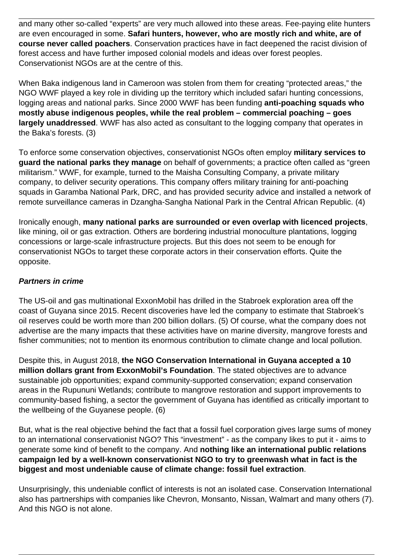and many other so-called "experts" are very much allowed into these areas. Fee-paying elite hunters are even encouraged in some. **Safari hunters, however, who are mostly rich and white, are of course never called poachers**. Conservation practices have in fact deepened the racist division of forest access and have further imposed colonial models and ideas over forest peoples. Conservationist NGOs are at the centre of this.

When Baka indigenous land in Cameroon was stolen from them for creating "protected areas," the NGO WWF played a key role in dividing up the territory which included safari hunting concessions, logging areas and national parks. Since 2000 WWF has been funding **anti-poaching squads who mostly abuse indigenous peoples, while the real problem – commercial poaching – goes largely unaddressed**. WWF has also acted as consultant to the logging company that operates in the Baka's forests. (3)

To enforce some conservation objectives, conservationist NGOs often employ **military services to guard the national parks they manage** on behalf of governments; a practice often called as "green militarism." WWF, for example, turned to the Maisha Consulting Company, a private military company, to deliver security operations. This company offers military training for anti-poaching squads in Garamba National Park, DRC, and has provided security advice and installed a network of remote surveillance cameras in Dzangha-Sangha National Park in the Central African Republic. (4)

Ironically enough, **many national parks are surrounded or even overlap with licenced projects**, like mining, oil or gas extraction. Others are bordering industrial monoculture plantations, logging concessions or large-scale infrastructure projects. But this does not seem to be enough for conservationist NGOs to target these corporate actors in their conservation efforts. Quite the opposite.

### **Partners in crime**

The US-oil and gas multinational ExxonMobil has drilled in the Stabroek exploration area off the coast of Guyana since 2015. Recent discoveries have led the company to estimate that Stabroek's oil reserves could be worth more than 200 billion dollars. (5) Of course, what the company does not advertise are the many impacts that these activities have on marine diversity, mangrove forests and fisher communities; not to mention its enormous contribution to climate change and local pollution.

Despite this, in August 2018, **the NGO Conservation International in Guyana accepted a 10 million dollars grant from ExxonMobil's Foundation**. The stated objectives are to advance sustainable job opportunities; expand community-supported conservation; expand conservation areas in the Rupununi Wetlands; contribute to mangrove restoration and support improvements to community-based fishing, a sector the government of Guyana has identified as critically important to the wellbeing of the Guyanese people. (6)

But, what is the real objective behind the fact that a fossil fuel corporation gives large sums of money to an international conservationist NGO? This "investment" - as the company likes to put it - aims to generate some kind of benefit to the company. And **nothing like an international public relations campaign led by a well-known conservationist NGO to try to greenwash what in fact is the biggest and most undeniable cause of climate change: fossil fuel extraction**.

Unsurprisingly, this undeniable conflict of interests is not an isolated case. Conservation International also has partnerships with companies like Chevron, Monsanto, Nissan, Walmart and many others (7). And this NGO is not alone.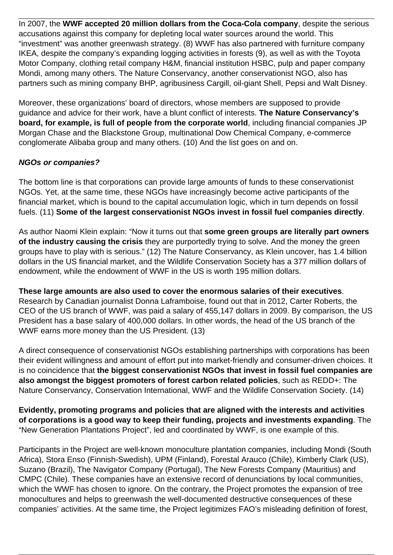In 2007, the **WWF accepted 20 million dollars from the Coca-Cola company**, despite the serious accusations against this company for depleting local water sources around the world. This "investment" was another greenwash strategy. (8) WWF has also partnered with furniture company IKEA, despite the company's expanding logging activities in forests (9), as well as with the Toyota Motor Company, clothing retail company H&M, financial institution HSBC, pulp and paper company Mondi, among many others. The Nature Conservancy, another conservationist NGO, also has partners such as mining company BHP, agribusiness Cargill, oil-giant Shell, Pepsi and Walt Disney.

Moreover, these organizations' board of directors, whose members are supposed to provide guidance and advice for their work, have a blunt conflict of interests. **The Nature Conservancy's board, for example, is full of people from the corporate world**, including financial companies JP Morgan Chase and the Blackstone Group, multinational Dow Chemical Company, e-commerce conglomerate Alibaba group and many others. (10) And the list goes on and on.

## **NGOs or companies?**

The bottom line is that corporations can provide large amounts of funds to these conservationist NGOs. Yet, at the same time, these NGOs have increasingly become active participants of the financial market, which is bound to the capital accumulation logic, which in turn depends on fossil fuels. (11) **Some of the largest conservationist NGOs invest in fossil fuel companies directly**.

As author Naomi Klein explain: "Now it turns out that **some green groups are literally part owners of the industry causing the crisis** they are purportedly trying to solve. And the money the green groups have to play with is serious." (12) The Nature Conservancy, as Klein uncover, has 1.4 billion dollars in the US financial market, and the Wildlife Conservation Society has a 377 million dollars of endowment, while the endowment of WWF in the US is worth 195 million dollars.

### **These large amounts are also used to cover the enormous salaries of their executives**.

Research by Canadian journalist Donna Laframboise, found out that in 2012, Carter Roberts, the CEO of the US branch of WWF, was paid a salary of 455,147 dollars in 2009. By comparison, the US President has a base salary of 400,000 dollars. In other words, the head of the US branch of the WWF earns more money than the US President. (13)

A direct consequence of conservationist NGOs establishing partnerships with corporations has been their evident willingness and amount of effort put into market-friendly and consumer-driven choices. It is no coincidence that **the biggest conservationist NGOs that invest in fossil fuel companies are also amongst the biggest promoters of forest carbon related policies**, such as REDD+: The Nature Conservancy, Conservation International, WWF and the Wildlife Conservation Society. (14)

**Evidently, promoting programs and policies that are aligned with the interests and activities of corporations is a good way to keep their funding, projects and investments expanding**. The "New Generation Plantations Project", led and coordinated by WWF, is one example of this.

Participants in the Project are well-known monoculture plantation companies, including Mondi (South Africa), Stora Enso (Finnish-Swedish), UPM (Finland), Forestal Arauco (Chile), Kimberly Clark (US), Suzano (Brazil), The Navigator Company (Portugal), The New Forests Company (Mauritius) and CMPC (Chile). These companies have an extensive record of denunciations by local communities, which the WWF has chosen to ignore. On the contrary, the Project promotes the expansion of tree monocultures and helps to greenwash the well-documented destructive consequences of these companies' activities. At the same time, the Project legitimizes FAO's misleading definition of forest,